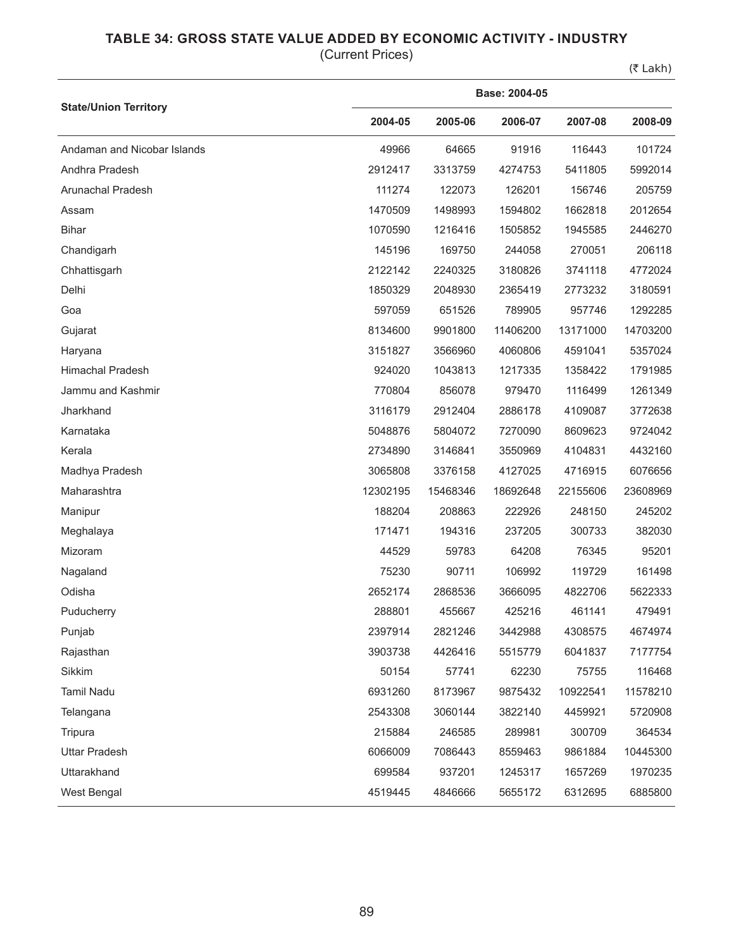## **TABLE 34: GROSS STATE VALUE ADDED BY ECONOMIC ACTIVITY - INDUSTRY**

(Current Prices)

(₹ Lakh)

|                              | Base: 2004-05 |          |          |          |          |  |  |
|------------------------------|---------------|----------|----------|----------|----------|--|--|
| <b>State/Union Territory</b> | 2004-05       | 2005-06  | 2006-07  | 2007-08  | 2008-09  |  |  |
| Andaman and Nicobar Islands  | 49966         | 64665    | 91916    | 116443   | 101724   |  |  |
| Andhra Pradesh               | 2912417       | 3313759  | 4274753  | 5411805  | 5992014  |  |  |
| Arunachal Pradesh            | 111274        | 122073   | 126201   | 156746   | 205759   |  |  |
| Assam                        | 1470509       | 1498993  | 1594802  | 1662818  | 2012654  |  |  |
| <b>Bihar</b>                 | 1070590       | 1216416  | 1505852  | 1945585  | 2446270  |  |  |
| Chandigarh                   | 145196        | 169750   | 244058   | 270051   | 206118   |  |  |
| Chhattisgarh                 | 2122142       | 2240325  | 3180826  | 3741118  | 4772024  |  |  |
| Delhi                        | 1850329       | 2048930  | 2365419  | 2773232  | 3180591  |  |  |
| Goa                          | 597059        | 651526   | 789905   | 957746   | 1292285  |  |  |
| Gujarat                      | 8134600       | 9901800  | 11406200 | 13171000 | 14703200 |  |  |
| Haryana                      | 3151827       | 3566960  | 4060806  | 4591041  | 5357024  |  |  |
| <b>Himachal Pradesh</b>      | 924020        | 1043813  | 1217335  | 1358422  | 1791985  |  |  |
| Jammu and Kashmir            | 770804        | 856078   | 979470   | 1116499  | 1261349  |  |  |
| Jharkhand                    | 3116179       | 2912404  | 2886178  | 4109087  | 3772638  |  |  |
| Karnataka                    | 5048876       | 5804072  | 7270090  | 8609623  | 9724042  |  |  |
| Kerala                       | 2734890       | 3146841  | 3550969  | 4104831  | 4432160  |  |  |
| Madhya Pradesh               | 3065808       | 3376158  | 4127025  | 4716915  | 6076656  |  |  |
| Maharashtra                  | 12302195      | 15468346 | 18692648 | 22155606 | 23608969 |  |  |
| Manipur                      | 188204        | 208863   | 222926   | 248150   | 245202   |  |  |
| Meghalaya                    | 171471        | 194316   | 237205   | 300733   | 382030   |  |  |
| Mizoram                      | 44529         | 59783    | 64208    | 76345    | 95201    |  |  |
| Nagaland                     | 75230         | 90711    | 106992   | 119729   | 161498   |  |  |
| Odisha                       | 2652174       | 2868536  | 3666095  | 4822706  | 5622333  |  |  |
| Puducherry                   | 288801        | 455667   | 425216   | 461141   | 479491   |  |  |
| Punjab                       | 2397914       | 2821246  | 3442988  | 4308575  | 4674974  |  |  |
| Rajasthan                    | 3903738       | 4426416  | 5515779  | 6041837  | 7177754  |  |  |
| Sikkim                       | 50154         | 57741    | 62230    | 75755    | 116468   |  |  |
| Tamil Nadu                   | 6931260       | 8173967  | 9875432  | 10922541 | 11578210 |  |  |
| Telangana                    | 2543308       | 3060144  | 3822140  | 4459921  | 5720908  |  |  |
| Tripura                      | 215884        | 246585   | 289981   | 300709   | 364534   |  |  |
| <b>Uttar Pradesh</b>         | 6066009       | 7086443  | 8559463  | 9861884  | 10445300 |  |  |
| Uttarakhand                  | 699584        | 937201   | 1245317  | 1657269  | 1970235  |  |  |
| West Bengal                  | 4519445       | 4846666  | 5655172  | 6312695  | 6885800  |  |  |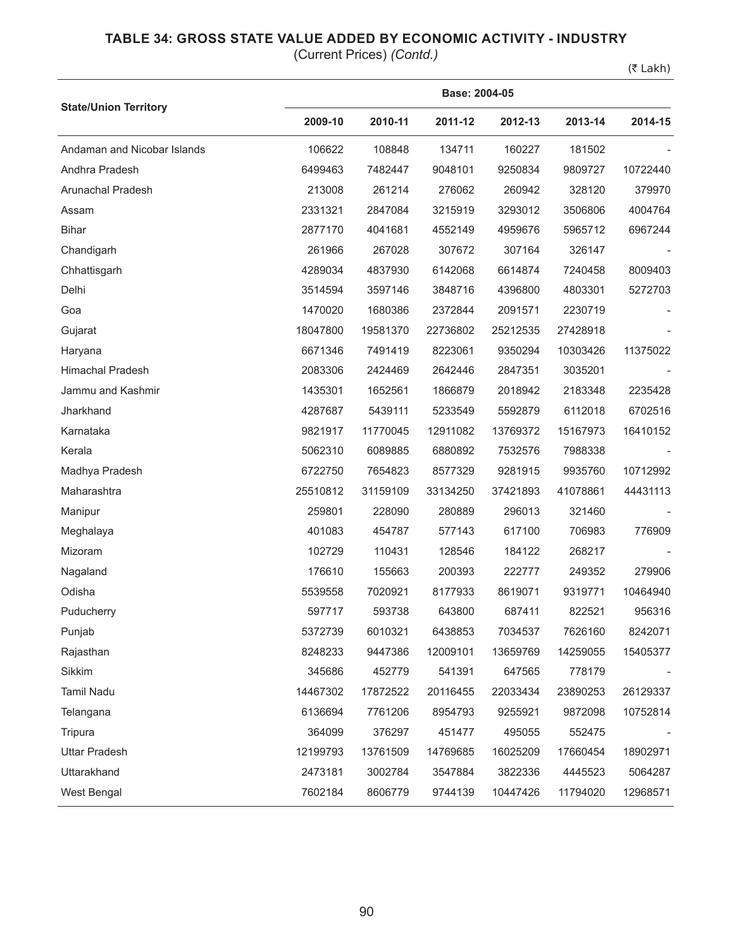## **TABLE 34: GROSS STATE VALUE ADDED BY ECONOMIC ACTIVITY - INDUSTRY**

(Current Prices) *(Contd.)*

(₹ Lakh)

|                              |          | Base: 2004-05 |          |          |          |          |  |  |  |
|------------------------------|----------|---------------|----------|----------|----------|----------|--|--|--|
| <b>State/Union Territory</b> | 2009-10  | 2010-11       | 2011-12  | 2012-13  | 2013-14  | 2014-15  |  |  |  |
| Andaman and Nicobar Islands  | 106622   | 108848        | 134711   | 160227   | 181502   |          |  |  |  |
| Andhra Pradesh               | 6499463  | 7482447       | 9048101  | 9250834  | 9809727  | 10722440 |  |  |  |
| Arunachal Pradesh            | 213008   | 261214        | 276062   | 260942   | 328120   | 379970   |  |  |  |
| Assam                        | 2331321  | 2847084       | 3215919  | 3293012  | 3506806  | 4004764  |  |  |  |
| <b>Bihar</b>                 | 2877170  | 4041681       | 4552149  | 4959676  | 5965712  | 6967244  |  |  |  |
| Chandigarh                   | 261966   | 267028        | 307672   | 307164   | 326147   |          |  |  |  |
| Chhattisgarh                 | 4289034  | 4837930       | 6142068  | 6614874  | 7240458  | 8009403  |  |  |  |
| Delhi                        | 3514594  | 3597146       | 3848716  | 4396800  | 4803301  | 5272703  |  |  |  |
| Goa                          | 1470020  | 1680386       | 2372844  | 2091571  | 2230719  |          |  |  |  |
| Gujarat                      | 18047800 | 19581370      | 22736802 | 25212535 | 27428918 |          |  |  |  |
| Haryana                      | 6671346  | 7491419       | 8223061  | 9350294  | 10303426 | 11375022 |  |  |  |
| Himachal Pradesh             | 2083306  | 2424469       | 2642446  | 2847351  | 3035201  |          |  |  |  |
| Jammu and Kashmir            | 1435301  | 1652561       | 1866879  | 2018942  | 2183348  | 2235428  |  |  |  |
| Jharkhand                    | 4287687  | 5439111       | 5233549  | 5592879  | 6112018  | 6702516  |  |  |  |
| Karnataka                    | 9821917  | 11770045      | 12911082 | 13769372 | 15167973 | 16410152 |  |  |  |
| Kerala                       | 5062310  | 6089885       | 6880892  | 7532576  | 7988338  |          |  |  |  |
| Madhya Pradesh               | 6722750  | 7654823       | 8577329  | 9281915  | 9935760  | 10712992 |  |  |  |
| Maharashtra                  | 25510812 | 31159109      | 33134250 | 37421893 | 41078861 | 44431113 |  |  |  |
| Manipur                      | 259801   | 228090        | 280889   | 296013   | 321460   |          |  |  |  |
| Meghalaya                    | 401083   | 454787        | 577143   | 617100   | 706983   | 776909   |  |  |  |
| Mizoram                      | 102729   | 110431        | 128546   | 184122   | 268217   |          |  |  |  |
| Nagaland                     | 176610   | 155663        | 200393   | 222777   | 249352   | 279906   |  |  |  |
| Odisha                       | 5539558  | 7020921       | 8177933  | 8619071  | 9319771  | 10464940 |  |  |  |
| Puducherry                   | 597717   | 593738        | 643800   | 687411   | 822521   | 956316   |  |  |  |
| Punjab                       | 5372739  | 6010321       | 6438853  | 7034537  | 7626160  | 8242071  |  |  |  |
| Rajasthan                    | 8248233  | 9447386       | 12009101 | 13659769 | 14259055 | 15405377 |  |  |  |
| Sikkim                       | 345686   | 452779        | 541391   | 647565   | 778179   |          |  |  |  |
| Tamil Nadu                   | 14467302 | 17872522      | 20116455 | 22033434 | 23890253 | 26129337 |  |  |  |
| Telangana                    | 6136694  | 7761206       | 8954793  | 9255921  | 9872098  | 10752814 |  |  |  |
| Tripura                      | 364099   | 376297        | 451477   | 495055   | 552475   |          |  |  |  |
| <b>Uttar Pradesh</b>         | 12199793 | 13761509      | 14769685 | 16025209 | 17660454 | 18902971 |  |  |  |
| Uttarakhand                  | 2473181  | 3002784       | 3547884  | 3822336  | 4445523  | 5064287  |  |  |  |
| West Bengal                  | 7602184  | 8606779       | 9744139  | 10447426 | 11794020 | 12968571 |  |  |  |